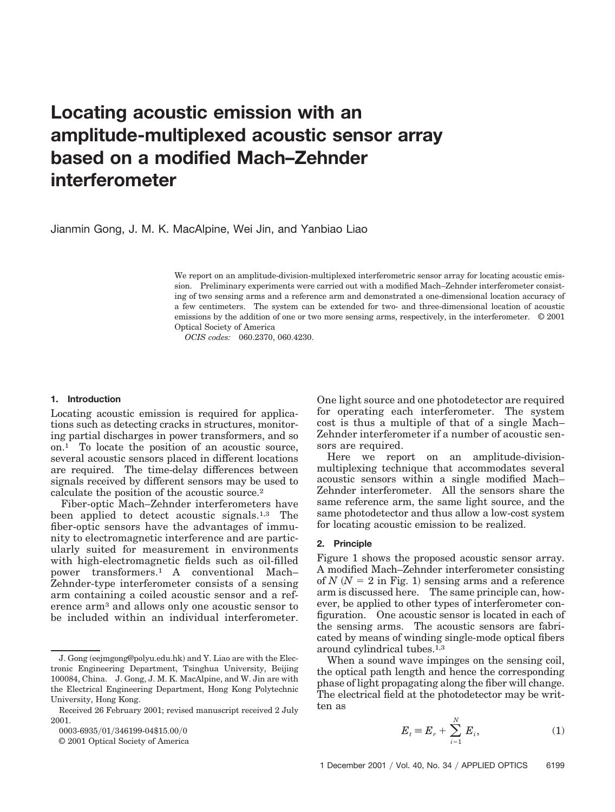# **Locating acoustic emission with an amplitude-multiplexed acoustic sensor array based on a modified Mach–Zehnder interferometer**

Jianmin Gong, J. M. K. MacAlpine, Wei Jin, and Yanbiao Liao

We report on an amplitude-division-multiplexed interferometric sensor array for locating acoustic emission. Preliminary experiments were carried out with a modified Mach–Zehnder interferometer consisting of two sensing arms and a reference arm and demonstrated a one-dimensional location accuracy of a few centimeters. The system can be extended for two- and three-dimensional location of acoustic emissions by the addition of one or two more sensing arms, respectively, in the interferometer. © 2001 Optical Society of America

*OCIS codes:* 060.2370, 060.4230.

#### **1. Introduction**

Locating acoustic emission is required for applications such as detecting cracks in structures, monitoring partial discharges in power transformers, and so on.1 To locate the position of an acoustic source, several acoustic sensors placed in different locations are required. The time-delay differences between signals received by different sensors may be used to calculate the position of the acoustic source.2

Fiber-optic Mach–Zehnder interferometers have been applied to detect acoustic signals.1,3 The fiber-optic sensors have the advantages of immunity to electromagnetic interference and are particularly suited for measurement in environments with high-electromagnetic fields such as oil-filled power transformers.1 A conventional Mach– Zehnder-type interferometer consists of a sensing arm containing a coiled acoustic sensor and a reference arm3 and allows only one acoustic sensor to be included within an individual interferometer.

0003-6935/01/346199-04\$15.00/0

© 2001 Optical Society of America

One light source and one photodetector are required for operating each interferometer. The system cost is thus a multiple of that of a single Mach– Zehnder interferometer if a number of acoustic sensors are required.

Here we report on an amplitude-divisionmultiplexing technique that accommodates several acoustic sensors within a single modified Mach– Zehnder interferometer. All the sensors share the same reference arm, the same light source, and the same photodetector and thus allow a low-cost system for locating acoustic emission to be realized.

### **2. Principle**

Figure 1 shows the proposed acoustic sensor array. A modified Mach–Zehnder interferometer consisting of  $N(N = 2$  in Fig. 1) sensing arms and a reference arm is discussed here. The same principle can, however, be applied to other types of interferometer configuration. One acoustic sensor is located in each of the sensing arms. The acoustic sensors are fabricated by means of winding single-mode optical fibers around cylindrical tubes.1,3

When a sound wave impinges on the sensing coil, the optical path length and hence the corresponding phase of light propagating along the fiber will change. The electrical field at the photodetector may be written as

$$
E_t = E_r + \sum_{i=1}^{N} E_i,
$$
 (1)

J. Gong (eejmgong@polyu.edu.hk) and Y. Liao are with the Electronic Engineering Department, Tsinghua University, Beijing 100084, China. J. Gong, J. M. K. MacAlpine, and W. Jin are with the Electrical Engineering Department, Hong Kong Polytechnic University, Hong Kong.

Received 26 February 2001; revised manuscript received 2 July 2001.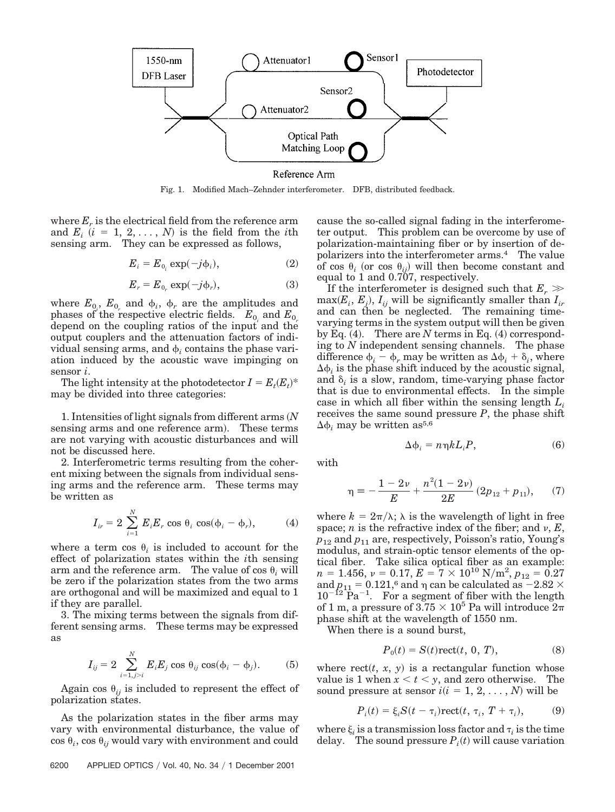

Fig. 1. Modified Mach–Zehnder interferometer. DFB, distributed feedback.

where  $E_r$  is the electrical field from the reference arm and  $E_i$   $(i = 1, 2, ..., N)$  is the field from the *i*th sensing arm. They can be expressed as follows,

$$
E_i = E_{0_i} \exp(-j\phi_i), \qquad (2)
$$

$$
E_r = E_{0_r} \exp(-j\phi_r), \tag{3}
$$

where  $E_{0_i}$ ,  $E_{0_r}$  and  $\phi_i$ ,  $\phi_r$  are the amplitudes and phases of the respective electric fields.  $E_0$  and  $E_0$ depend on the coupling ratios of the input and the output couplers and the attenuation factors of individual sensing arms, and  $\phi$ , contains the phase variation induced by the acoustic wave impinging on sensor *i*.

The light intensity at the photodetector  $I = E_t(E_t)^*$ may be divided into three categories:

1. Intensities of light signals from different arms *N* sensing arms and one reference arm). These terms are not varying with acoustic disturbances and will not be discussed here.

2. Interferometric terms resulting from the coherent mixing between the signals from individual sensing arms and the reference arm. These terms may be written as

$$
I_{ir} = 2 \sum_{i=1}^{N} E_i E_r \cos \theta_i \cos(\phi_i - \phi_r), \tag{4}
$$

where a term cos  $\theta_i$  is included to account for the effect of polarization states within the *i*th sensing arm and the reference arm. The value of  $\cos \theta$ , will be zero if the polarization states from the two arms are orthogonal and will be maximized and equal to 1 if they are parallel.

3. The mixing terms between the signals from different sensing arms. These terms may be expressed as

$$
I_{ij} = 2 \sum_{i=1, j>i}^{N} E_i E_j \cos \theta_{ij} \cos(\phi_i - \phi_j). \tag{5}
$$

Again cos  $\theta_{ij}$  is included to represent the effect of polarization states.

As the polarization states in the fiber arms may vary with environmental disturbance, the value of  $\cos \theta_i$ ,  $\cos \theta_{ij}$  would vary with environment and could

cause the so-called signal fading in the interferometer output. This problem can be overcome by use of polarization-maintaining fiber or by insertion of depolarizers into the interferometer arms.4 The value of cos  $\theta_i$  (or cos  $\theta_{ii}$ ) will then become constant and equal to 1 and 0.707, respectively.

If the interferometer is designed such that  $E_r \gg$  $\max(E_i, E_j)$ ,  $I_{ij}$  will be significantly smaller than  $I_{ir}$ and can then be neglected. The remaining timevarying terms in the system output will then be given by Eq. (4). There are  $N$  terms in Eq. (4) corresponding to *N* independent sensing channels. The phase difference  $\phi_i - \phi_r$  may be written as  $\Delta \phi_i + \delta_i$ , where  $\Delta \phi_i$  is the phase shift induced by the acoustic signal, and  $\delta_i$  is a slow, random, time-varying phase factor that is due to environmental effects. In the simple case in which all fiber within the sensing length *Li* receives the same sound pressure *P*, the phase shift  $\Delta \phi_i$  may be written as<sup>5,6</sup>

$$
\Delta \phi_i = n \eta k L_i P, \tag{6}
$$

with

$$
\eta = -\frac{1 - 2\nu}{E} + \frac{n^2(1 - 2\nu)}{2E} (2p_{12} + p_{11}), \quad (7)
$$

where  $k = 2\pi/\lambda$ ;  $\lambda$  is the wavelength of light in free space; *n* is the refractive index of the fiber; and  $\nu$ ,  $E$ ,  $p_{12}$  and  $p_{11}$  are, respectively, Poisson's ratio, Young's modulus, and strain-optic tensor elements of the optical fiber. Take silica optical fiber as an example:  $n = 1.456, \, \nu = 0.17, \, E = 7 \times 10^{10} \; \mathrm{N/m^2}, \, p_{12} = 0.27$ and  $p_{11} = 0.121$ ,<sup>6</sup> and  $\eta$  can be calculated as  $-2.82 \times$  $10^{-12}$  Pa<sup>-1</sup>. For a segment of fiber with the length of 1 m, a pressure of  $3.75 \times 10^5$  Pa will introduce  $2\pi$ phase shift at the wavelength of 1550 nm.

When there is a sound burst,

$$
P_0(t) = S(t)\text{rect}(t, 0, T),\tag{8}
$$

where  $rect(t, x, y)$  is a rectangular function whose value is 1 when  $x < t < y$ , and zero otherwise. The sound pressure at sensor  $i(i = 1, 2, ..., N)$  will be

$$
P_i(t) = \xi_i S(t - \tau_i) \text{rect}(t, \tau_i, T + \tau_i), \tag{9}
$$

where  $\xi_i$  is a transmission loss factor and  $\tau_i$  is the time delay. The sound pressure  $P_i(t)$  will cause variation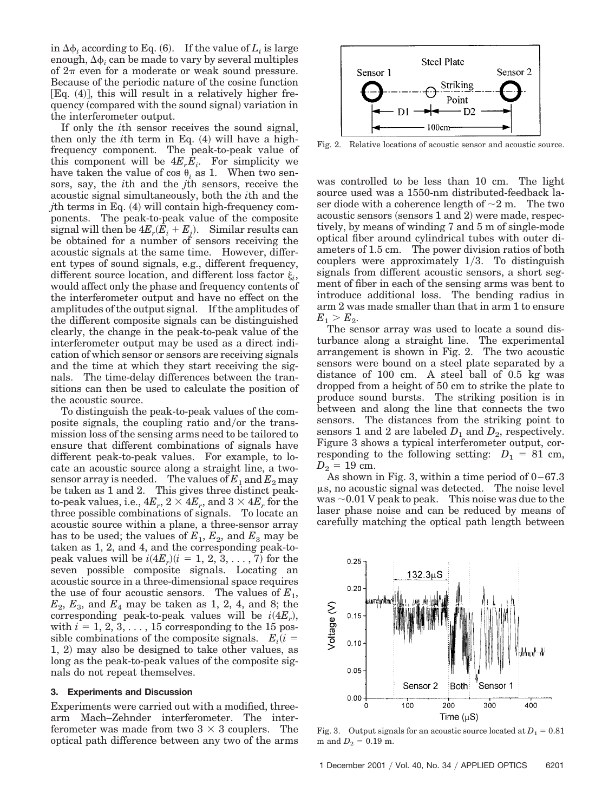in  $\Delta \phi_i$  according to Eq. (6). If the value of  $L_i$  is large enough,  $\Delta\phi$ , can be made to vary by several multiples of  $2\pi$  even for a moderate or weak sound pressure. Because of the periodic nature of the cosine function  $[Eq. (4)]$ , this will result in a relatively higher frequency (compared with the sound signal) variation in the interferometer output.

If only the *i*th sensor receives the sound signal, then only the *i*th term in Eq.  $(4)$  will have a highfrequency component. The peak-to-peak value of this component will be  $4E_rE_i$ . For simplicity we have taken the value of cos  $\theta_i$  as 1. When two sensors, say, the *i*th and the *j*th sensors, receive the acoustic signal simultaneously, both the *i*th and the *j*th terms in Eq.  $(4)$  will contain high-frequency components. The peak-to-peak value of the composite  $\text{signal will then be } 4E_r(E_i + E_j).$  Similar results can be obtained for a number of sensors receiving the acoustic signals at the same time. However, different types of sound signals, e.g., different frequency, different source location, and different loss factor  $\xi_i$ , would affect only the phase and frequency contents of the interferometer output and have no effect on the amplitudes of the output signal. If the amplitudes of the different composite signals can be distinguished clearly, the change in the peak-to-peak value of the interferometer output may be used as a direct indication of which sensor or sensors are receiving signals and the time at which they start receiving the signals. The time-delay differences between the transitions can then be used to calculate the position of the acoustic source.

To distinguish the peak-to-peak values of the composite signals, the coupling ratio and/or the transmission loss of the sensing arms need to be tailored to ensure that different combinations of signals have different peak-to-peak values. For example, to locate an acoustic source along a straight line, a twosensor array is needed. The values of  $E_1$  and  $E_2$  may be taken as 1 and 2. This gives three distinct peakto-peak values, i.e.,  $4E_r$ ,  $2 \times 4E_r$ , and  $3 \times 4E_r$  for the three possible combinations of signals. To locate an acoustic source within a plane, a three-sensor array has to be used; the values of  $E_1, E_2$ , and  $E_3$  may be taken as 1, 2, and 4, and the corresponding peak-topeak values will be  $i(4E_r)(i = 1, 2, 3, \ldots, 7)$  for the seven possible composite signals. Locating an acoustic source in a three-dimensional space requires the use of four acoustic sensors. The values of  $E_1$ ,  $E_2, E_3$ , and  $E_4$  may be taken as 1, 2, 4, and 8; the corresponding peak-to-peak values will be  $i(4E_r)$ , with  $i = 1, 2, 3, \ldots, 15$  corresponding to the 15 possible combinations of the composite signals.  $E_i(i =$  $1, 2$  may also be designed to take other values, as long as the peak-to-peak values of the composite signals do not repeat themselves.

## **3. Experiments and Discussion**

Experiments were carried out with a modified, threearm Mach–Zehnder interferometer. The interferometer was made from two  $3 \times 3$  couplers. The optical path difference between any two of the arms



Fig. 2. Relative locations of acoustic sensor and acoustic source.

was controlled to be less than 10 cm. The light source used was a 1550-nm distributed-feedback laser diode with a coherence length of  $\sim$ 2 m. The two acoustic sensors (sensors  $1$  and  $2$ ) were made, respectively, by means of winding 7 and 5 m of single-mode optical fiber around cylindrical tubes with outer diameters of 1.5 cm. The power division ratios of both couplers were approximately  $1/3$ . To distinguish signals from different acoustic sensors, a short segment of fiber in each of the sensing arms was bent to introduce additional loss. The bending radius in arm 2 was made smaller than that in arm 1 to ensure  $E_1 > E_2.$ 

The sensor array was used to locate a sound disturbance along a straight line. The experimental arrangement is shown in Fig. 2. The two acoustic sensors were bound on a steel plate separated by a distance of 100 cm. A steel ball of 0.5 kg was dropped from a height of 50 cm to strike the plate to produce sound bursts. The striking position is in between and along the line that connects the two sensors. The distances from the striking point to sensors 1 and 2 are labeled  $D_1$  and  $D_2$ , respectively. Figure 3 shows a typical interferometer output, corresponding to the following setting:  $D_1 = 81$  cm,  $D_2 = 19$  cm.

As shown in Fig. 3, within a time period of  $0-67.3$  $\mu$ s, no acoustic signal was detected. The noise level was  $\sim 0.01$  V peak to peak. This noise was due to the laser phase noise and can be reduced by means of carefully matching the optical path length between



Fig. 3. Output signals for an acoustic source located at  $D_1 = 0.81$  $m$  and  $D_2 = 0.19$  m.